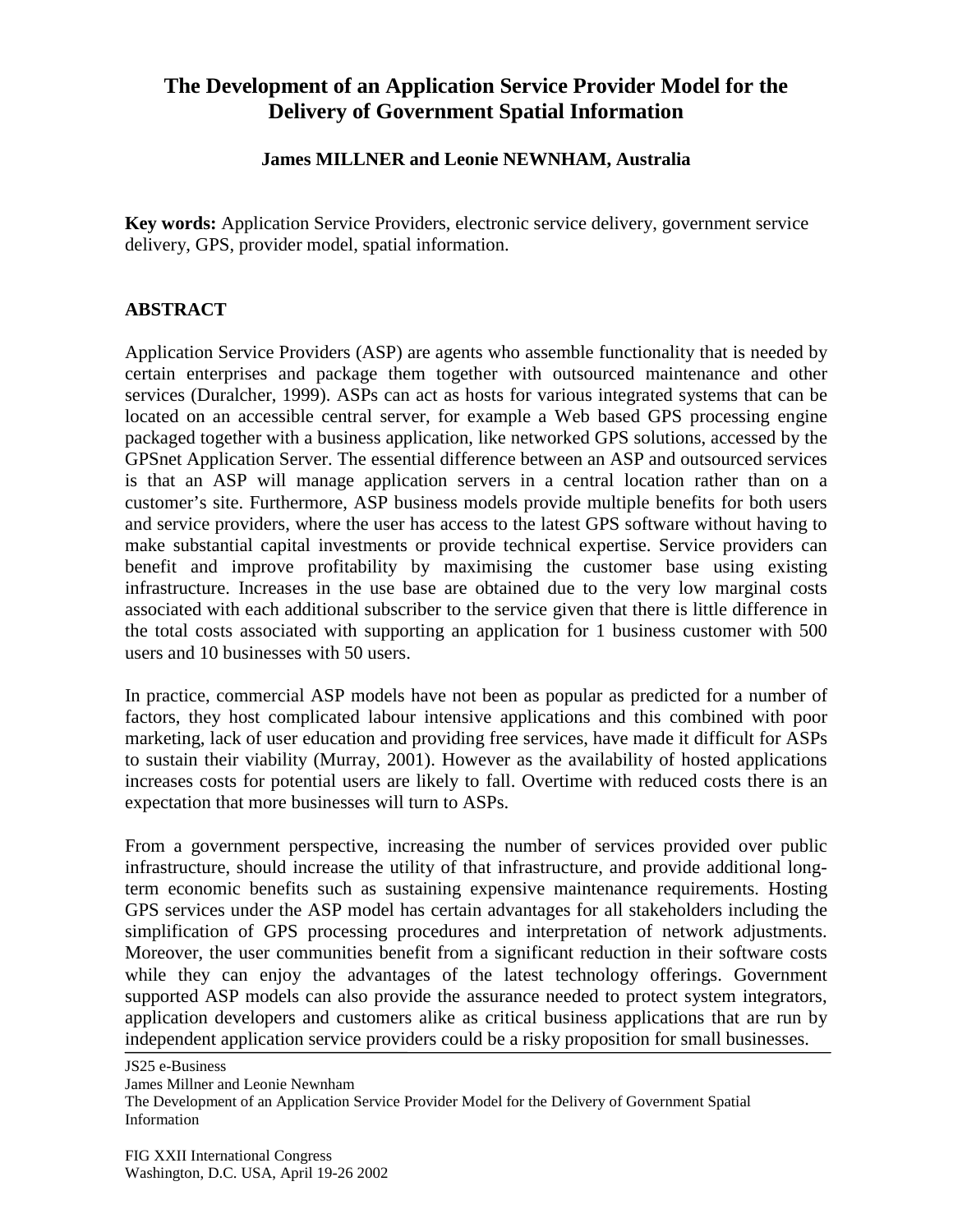## **The Development of an Application Service Provider Model for the Delivery of Government Spatial Information**

## **James MILLNER and Leonie NEWNHAM, Australia**

**Key words:** Application Service Providers, electronic service delivery, government service delivery, GPS, provider model, spatial information.

## **ABSTRACT**

Application Service Providers (ASP) are agents who assemble functionality that is needed by certain enterprises and package them together with outsourced maintenance and other services (Duralcher, 1999). ASPs can act as hosts for various integrated systems that can be located on an accessible central server, for example a Web based GPS processing engine packaged together with a business application, like networked GPS solutions, accessed by the GPSnet Application Server. The essential difference between an ASP and outsourced services is that an ASP will manage application servers in a central location rather than on a customer's site. Furthermore, ASP business models provide multiple benefits for both users and service providers, where the user has access to the latest GPS software without having to make substantial capital investments or provide technical expertise. Service providers can benefit and improve profitability by maximising the customer base using existing infrastructure. Increases in the use base are obtained due to the very low marginal costs associated with each additional subscriber to the service given that there is little difference in the total costs associated with supporting an application for 1 business customer with 500 users and 10 businesses with 50 users.

In practice, commercial ASP models have not been as popular as predicted for a number of factors, they host complicated labour intensive applications and this combined with poor marketing, lack of user education and providing free services, have made it difficult for ASPs to sustain their viability (Murray, 2001). However as the availability of hosted applications increases costs for potential users are likely to fall. Overtime with reduced costs there is an expectation that more businesses will turn to ASPs.

From a government perspective, increasing the number of services provided over public infrastructure, should increase the utility of that infrastructure, and provide additional longterm economic benefits such as sustaining expensive maintenance requirements. Hosting GPS services under the ASP model has certain advantages for all stakeholders including the simplification of GPS processing procedures and interpretation of network adjustments. Moreover, the user communities benefit from a significant reduction in their software costs while they can enjoy the advantages of the latest technology offerings. Government supported ASP models can also provide the assurance needed to protect system integrators, application developers and customers alike as critical business applications that are run by independent application service providers could be a risky proposition for small businesses.

JS25 e-Business

James Millner and Leonie Newnham

The Development of an Application Service Provider Model for the Delivery of Government Spatial Information